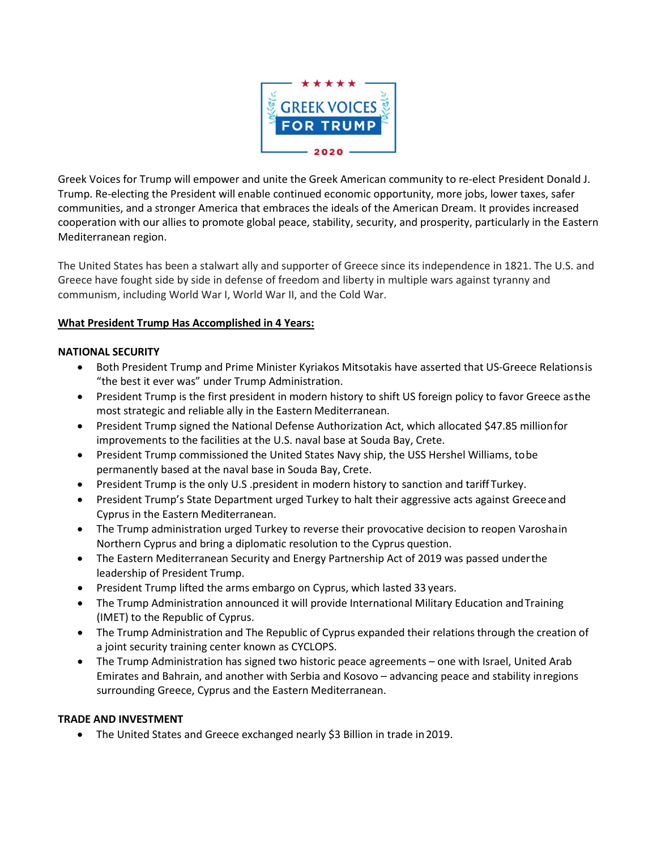

Greek Voices for Trump will empower and unite the Greek American community to re-elect President Donald J. Trump. Re-electing the President will enable continued economic opportunity, more jobs, lower taxes, safer communities, and a stronger America that embraces the ideals of the American Dream. It provides increased cooperation with our allies to promote global peace, stability, security, and prosperity, particularly in the Eastern Mediterranean region.

The United States has been a stalwart ally and supporter of Greece since its independence in 1821. The U.S. and Greece have fought side by side in defense of freedom and liberty in multiple wars against tyranny and communism, including World War I, World War II, and the Cold War.

## **What President Trump Has Accomplished in 4 Years:**

#### **NATIONAL SECURITY**

- Both President Trump and Prime Minister Kyriakos Mitsotakis have asserted that US-Greece Relationsis "the best it ever was" under Trump Administration.
- President Trump is the first president in modern history to shift US foreign policy to favor Greece asthe most strategic and reliable ally in the Eastern Mediterranean.
- President Trump signed the National Defense Authorization Act, which allocated \$47.85 millionfor improvements to the facilities at the U.S. naval base at Souda Bay, Crete.
- President Trump commissioned the United States Navy ship, the USS Hershel Williams, tobe permanently based at the naval base in Souda Bay, Crete.
- President Trump is the only U.S .president in modern history to sanction and tariff Turkey.
- President Trump's State Department urged Turkey to halt their aggressive acts against Greece and Cyprus in the Eastern Mediterranean.
- The Trump administration urged Turkey to reverse their provocative decision to reopen Varoshain Northern Cyprus and bring a diplomatic resolution to the Cyprus question.
- The Eastern Mediterranean Security and Energy Partnership Act of 2019 was passed underthe leadership of President Trump.
- President Trump lifted the arms embargo on Cyprus, which lasted 33 years.
- The Trump Administration announced it will provide International Military Education and Training (IMET) to the Republic of Cyprus.
- The Trump Administration and The Republic of Cyprus expanded their relations through the creation of a joint security training center known as CYCLOPS.
- The Trump Administration has signed two historic peace agreements one with Israel, United Arab Emirates and Bahrain, and another with Serbia and Kosovo – advancing peace and stability inregions surrounding Greece, Cyprus and the Eastern Mediterranean.

# **TRADE AND INVESTMENT**

• The United States and Greece exchanged nearly \$3 Billion in trade in2019.